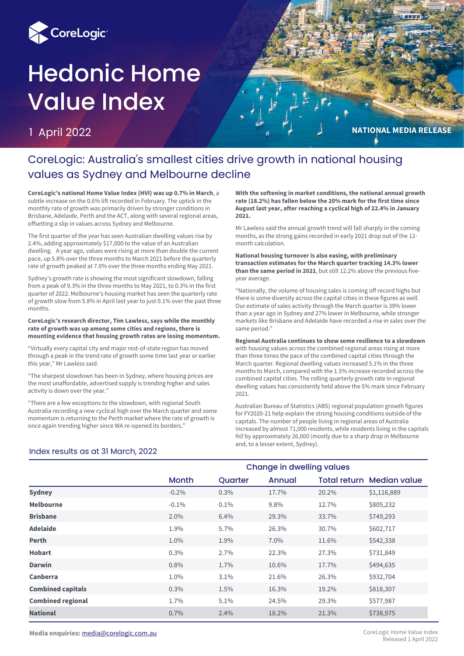

# Hedonic Home Value Index

1 April 2022

**NATIONAL MEDIA RELEASE** 

# CoreLogic: Australia's smallest cities drive growth in national housing values as Sydney and Melbourne decline

**CoreLogic's national Home Value Index (HVI) was up 0.7% in March**, a subtle increase on the 0.6% lift recorded in February. The uptick in the monthly rate of growth was primarily driven by stronger conditions in Brisbane, Adelaide, Perth and the ACT, along with several regional areas, offsetting a slip in values across Sydney and Melbourne.

The first quarter of the year has seen Australian dwelling values rise by 2.4%, adding approximately \$17,000 to the value of an Australian dwelling. A year ago, values were rising at more than double the current pace, up 5.8% over the three months to March 2021 before the quarterly rate of growth peaked at 7.0% over the three months ending May 2021.

Sydney's growth rate is showing the most significant slowdown, falling from a peak of 9.3% in the three months to May 2021, to 0.3% in the first quarter of 2022. Melbourne's housing market has seen the quarterly rate of growth slow from 5.8% in April last year to just 0.1% over the past three months.

#### **CoreLogic's research director, Tim Lawless, says while the monthly rate of growth was up among some cities and regions, there is mounting evidence that housing growth rates are losing momentum.**

"Virtually every capital city and major rest-of-state region has moved through a peak in the trend rate of growth some time last year or earlier this year," Mr Lawless said.

"The sharpest slowdown has been in Sydney, where housing prices are the most unaffordable, advertised supply is trending higher and sales activity is down over the year."

"There are a few exceptions to the slowdown, with regional South Australia recording a new cyclical high over the March quarter and some momentum is returning to the Perth market where the rate of growth is once again trending higher since WA re-opened its borders."

**With the softening in market conditions, the national annual growth rate (18.2%) has fallen below the 20% mark for the first time since August last year, after reaching a cyclical high of 22.4% in January 2021.** 

Mr Lawless said the annual growth trend will fall sharply in the coming months, as the strong gains recorded in early 2021 drop out of the 12 month calculation.

**National housing turnover is also easing, with preliminary transaction estimates for the March quarter tracking 14.3% lower than the same period in 2021**, but still 12.2% above the previous fiveyear average.

"Nationally, the volume of housing sales is coming off record highs but there is some diversity across the capital cities in these figures as well. Our estimate of sales activity through the March quarter is 39% lower than a year ago in Sydney and 27% lower in Melbourne, while stronger markets like Brisbane and Adelaide have recorded a rise in sales over the same period."

**Regional Australia continues to show some resilience to a slowdown** with housing values across the combined regional areas rising at more than three times the pace of the combined capital cities through the March quarter. Regional dwelling values increased 5.1% in the three months to March, compared with the 1.5% increase recorded across the combined capital cities. The rolling quarterly growth rate in regional dwelling values has consistently held above the 5% mark since February 2021.

Australian Bureau of Statistics (ABS) regional population growth figures for FY2020-21 help explain the strong housing conditions outside of the capitals. The number of people living in regional areas of Australia increased by almost 71,000 residents, while residents living in the capitals *fell* by approximately 26,000 (mostly due to a sharp drop in Melbourne and, to a lesser extent, Sydney).

#### Index results as at 31 March, 2022

|                          | <b>Change in dwelling values</b> |         |        |       |                                  |  |
|--------------------------|----------------------------------|---------|--------|-------|----------------------------------|--|
|                          | <b>Month</b>                     | Quarter | Annual |       | <b>Total return Median value</b> |  |
| <b>Sydney</b>            | $-0.2\%$                         | 0.3%    | 17.7%  | 20.2% | \$1,116,889                      |  |
| <b>Melbourne</b>         | $-0.1\%$                         | 0.1%    | 9.8%   | 12.7% | \$805,232                        |  |
| <b>Brisbane</b>          | 2.0%                             | 6.4%    | 29.3%  | 33.7% | \$749,293                        |  |
| <b>Adelaide</b>          | 1.9%                             | 5.7%    | 26.3%  | 30.7% | \$602,717                        |  |
| <b>Perth</b>             | 1.0%                             | 1.9%    | 7.0%   | 11.6% | \$542,338                        |  |
| <b>Hobart</b>            | 0.3%                             | 2.7%    | 22.3%  | 27.3% | \$731,849                        |  |
| <b>Darwin</b>            | 0.8%                             | 1.7%    | 10.6%  | 17.7% | \$494,635                        |  |
| Canberra                 | 1.0%                             | 3.1%    | 21.6%  | 26.3% | \$932,704                        |  |
| <b>Combined capitals</b> | 0.3%                             | 1.5%    | 16.3%  | 19.2% | \$818,307                        |  |
| <b>Combined regional</b> | 1.7%                             | 5.1%    | 24.5%  | 29.3% | \$577,987                        |  |
| <b>National</b>          | 0.7%                             | 2.4%    | 18.2%  | 21.3% | \$738,975                        |  |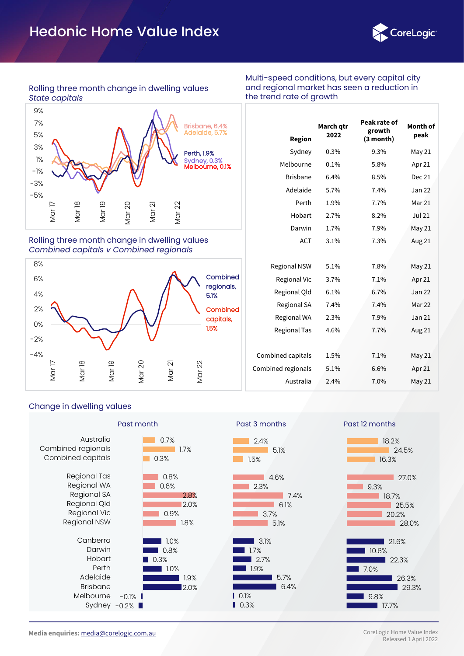# Hedonic Home Value Index



#### Rolling three month change in dwelling values *State capitals*

Sydney, 0.3% Melbourne, 0.1% Brisbane, 6.4% Adelaide, 5.7% Perth, 1.9% -5% -3% -1% 1% 3% 5% 7% 9% Mar 17 Mar 18 Mar 19 Mar 20 Mar 21 Mar 22

Rolling three month change in dwelling values *Combined capitals v Combined regionals*



Multi-speed conditions, but every capital city and regional market has seen a reduction in the trend rate of growth

| <b>Region</b>       | March gtr<br>2022 | Peak rate of<br>growth<br>(3 month) | Month of<br>peak |
|---------------------|-------------------|-------------------------------------|------------------|
| Sydney              | 0.3%              | 9.3%                                | May 21           |
| Melbourne           | 0.1%              | 5.8%                                | Apr 21           |
| <b>Brisbane</b>     | 6.4%              | 8.5%                                | <b>Dec 21</b>    |
| Adelaide            | 5.7%              | 7.4%                                | Jan 22           |
| Perth               | 1.9%              | 7.7%                                | Mar 21           |
| Hobart              | 2.7%              | 8.2%                                | <b>Jul 21</b>    |
| Darwin              | 1.7%              | 7.9%                                | May 21           |
| <b>ACT</b>          | 3.1%              | 7.3%                                | Aug 21           |
|                     |                   |                                     |                  |
| <b>Regional NSW</b> | 5.1%              | 7.8%                                | May 21           |
| <b>Regional Vic</b> | 3.7%              | 7.1%                                | Apr 21           |
| Regional Qld        | 6.1%              | 6.7%                                | Jan 22           |
| <b>Regional SA</b>  | 7.4%              | 7.4%                                | Mar 22           |
| Regional WA         | 2.3%              | 7.9%                                | Jan 21           |
| <b>Regional Tas</b> | 4.6%              | 7.7%                                | Aug 21           |
|                     |                   |                                     |                  |
| Combined capitals   | 1.5%              | 7.1%                                | May 21           |
| Combined regionals  | 5.1%              | 6.6%                                | Apr 21           |
| Australia           | 2.4%              | 7.0%                                | May 21           |

#### Change in dwelling values

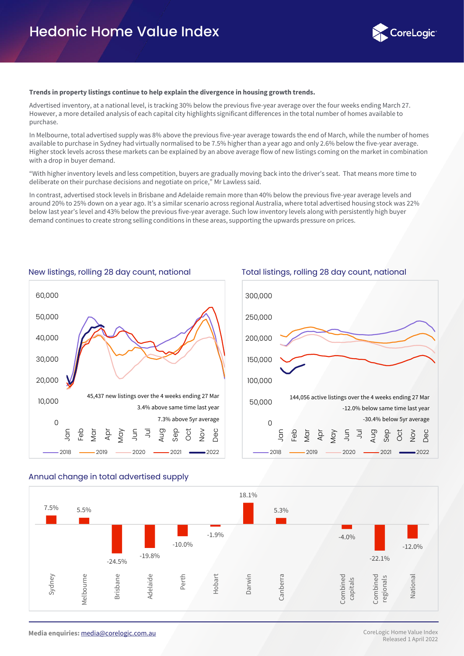

#### **Trends in property listings continue to help explain the divergence in housing growth trends.**

Advertised inventory, at a national level, is tracking 30% below the previous five-year average over the four weeks ending March 27. However, a more detailed analysis of each capital city highlights significant differences in the total number of homes available to purchase.

In Melbourne, total advertised supply was 8% above the previous five-year average towards the end of March, while the number of homes available to purchase in Sydney had virtually normalised to be 7.5% higher than a year ago and only 2.6% below the five-year average. Higher stock levels across these markets can be explained by an above average flow of new listings coming on the market in combination with a drop in buyer demand.

"With higher inventory levels and less competition, buyers are gradually moving back into the driver's seat. That means more time to deliberate on their purchase decisions and negotiate on price," Mr Lawless said.

In contrast, advertised stock levels in Brisbane and Adelaide remain more than 40% below the previous five-year average levels and around 20% to 25% down on a year ago. It's a similar scenario across regional Australia, where total advertised housing stock was 22% below last year's level and 43% below the previous five-year average. Such low inventory levels along with persistently high buyer demand continues to create strong selling conditions in these areas, supporting the upwards pressure on prices.







#### Annual change in total advertised supply

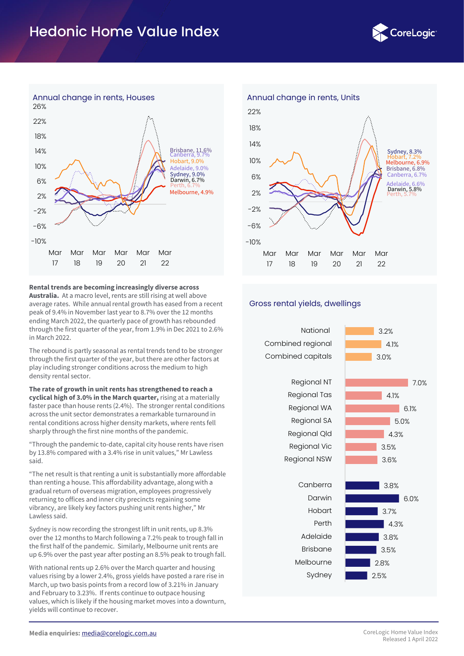# Hedonic Home Value Index





#### **Rental trends are becoming increasingly diverse across**

**Australia.** At a macro level, rents are still rising at well above average rates. While annual rental growth has eased from a recent peak of 9.4% in November last year to 8.7% over the 12 months ending March 2022, the quarterly pace of growth has rebounded through the first quarter of the year, from 1.9% in Dec 2021 to 2.6% in March 2022.

The rebound is partly seasonal as rental trends tend to be stronger through the first quarter of the year, but there are other factors at play including stronger conditions across the medium to high density rental sector.

**The rate of growth in unit rents has strengthened to reach a cyclical high of 3.0% in the March quarter,** rising at a materially faster pace than house rents (2.4%). The stronger rental conditions across the unit sector demonstrates a remarkable turnaround in rental conditions across higher density markets, where rents fell sharply through the first nine months of the pandemic.

"Through the pandemic to-date, capital city house rents have risen by 13.8% compared with a 3.4% rise in unit values," Mr Lawless said.

"The net result is that renting a unit is substantially more affordable than renting a house. This affordability advantage, along with a gradual return of overseas migration, employees progressively returning to offices and inner city precincts regaining some vibrancy, are likely key factors pushing unit rents higher," Mr Lawless said.

Sydney is now recording the strongest lift in unit rents, up 8.3% over the 12 months to March following a 7.2% peak to trough fall in the first half of the pandemic. Similarly, Melbourne unit rents are up 6.9% over the past year after posting an 8.5% peak to trough fall.

With national rents up 2.6% over the March quarter and housing values rising by a lower 2.4%, gross yields have posted a rare rise in March, up two basis points from a record low of 3.21% in January and February to 3.23%. If rents continue to outpace housing values, which is likely if the housing market moves into a downturn, yields will continue to recover.



#### Gross rental yields, dwellings

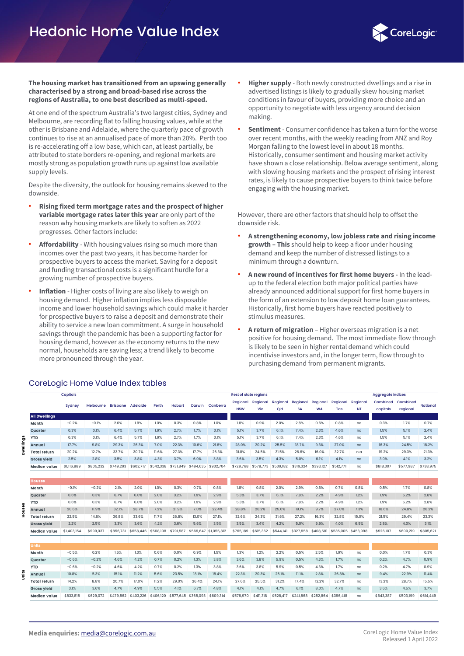

#### **The housing market has transitioned from an upswing generally characterised by a strong and broad-based rise across the regions of Australia, to one best described as multi-speed.**

At one end of the spectrum Australia's two largest cities, Sydney and Melbourne, are recording flat to falling housing values, while at the other is Brisbane and Adelaide, where the quarterly pace of growth continues to rise at an annualised pace of more than 20%. Perth too is re-accelerating off a low base, which can, at least partially, be attributed to state borders re-opening, and regional markets are mostly strong as population growth runs up against low available supply levels.

Despite the diversity, the outlook for housing remains skewed to the downside.

- **Rising fixed term mortgage rates and the prospect of higher variable mortgage rates later this year** are only part of the reason why housing markets are likely to soften as 2022 progresses. Other factors include:
- **Affordability** With housing values rising so much more than incomes over the past two years, it has become harder for prospective buyers to access the market. Saving for a deposit and funding transactional costs is a significant hurdle for a growing number of prospective buyers.
- **Inflation** Higher costs of living are also likely to weigh on housing demand. Higher inflation implies less disposable income and lower household savings which could make it harder for prospective buyers to raise a deposit and demonstrate their ability to service a new loan commitment. A surge in household savings through the pandemic has been a supporting factor for housing demand, however as the economy returns to the new normal, households are saving less; a trend likely to become more pronounced through the year.
- **Higher supply** Both newly constructed dwellings and a rise in advertised listings is likely to gradually skew housing market conditions in favour of buyers, providing more choice and an opportunity to negotiate with less urgency around decision making.
- **Sentiment** Consumer confidence has taken a turn for the worse over recent months, with the weekly reading from ANZ and Roy Morgan falling to the lowest level in about 18 months. Historically, consumer sentiment and housing market activity have shown a close relationship. Below average sentiment, along with slowing housing markets and the prospect of rising interest rates, is likely to cause prospective buyers to think twice before engaging with the housing market.

However, there are other factors that should help to offset the downside risk.

- **A strengthening economy, low jobless rate and rising income growth – This** should help to keep a floor under housing demand and keep the number of distressed listings to a minimum through a downturn.
- **A new round of incentives for first home buyers -** In the leadup to the federal election both major political parties have already announced additional support for first home buyers in the form of an extension to low deposit home loan guarantees. Historically, first home buyers have reacted positively to stimulus measures.
- **A return of migration** Higher overseas migration is a net positive for housing demand. The most immediate flow through is likely to be seen in higher rental demand which could incentivise investors and, in the longer term, flow through to purchasing demand from permanent migrants.

|        |                      | Capitals    |           |                 |           |           |               |                     |                       | <b>Rest of state regions</b> |           |           |           |           |           |           | <b>Aggregate indices</b> |           |           |
|--------|----------------------|-------------|-----------|-----------------|-----------|-----------|---------------|---------------------|-----------------------|------------------------------|-----------|-----------|-----------|-----------|-----------|-----------|--------------------------|-----------|-----------|
|        |                      |             |           |                 |           |           |               |                     |                       | <b>Regional Regional</b>     |           | Regional  | Regional  | Regional  | Regional  | Regional  | Combined                 | Combined  |           |
|        |                      | Sydney      | Melbourne | <b>Brisbane</b> | Adelaide  | Perth     | <b>Hobart</b> | Darwin              | Canberra              | <b>NSW</b>                   | Vic       | Qld       | <b>SA</b> | <b>WA</b> | Tas       | <b>NT</b> | capitals                 | regional  | National  |
|        | <b>All Dwellings</b> |             |           |                 |           |           |               |                     |                       |                              |           |           |           |           |           |           |                          |           |           |
|        | Month                | $-0.2%$     | $-0.1%$   | 2.0%            | 1.9%      | 1.0%      | 0.3%          | 0.8%                | 1.0%                  | 1.8%                         | 0.9%      | 2.0%      | 2.8%      | 0.6%      | 0.8%      | na        | 0.3%                     | 1.7%      | 0.7%      |
|        | Quarter              | 0.3%        | 0.1%      | 6.4%            | 5.7%      | 1.9%      | 2.7%          | 1.7%                | 3.1%                  | 5.1%                         | 3.7%      | 6.1%      | 7.4%      | 2.3%      | 4.6%      | na        | 1.5%                     | 5.1%      | 2.4%      |
| å<br>≘ | <b>YTD</b>           | 0.3%        | 0.1%      | 6.4%            | 5.7%      | 1.9%      | 2.7%          | 1.7%                | 3.1%                  | 5.1%                         | 3.7%      | 6.1%      | 7.4%      | 2.3%      | 4.6%      | na        | 1.5%                     | 5.1%      | 2.4%      |
|        | Annual               | 17.7%       | 9.8%      | 29.3%           | 26.3%     | 7.0%      | 22.3%         | 10.6%               | 21.6%                 | 28.0%                        | 20.2%     | 25.5%     | 18.7%     | 9.3%      | 27.0%     | na        | 16.3%                    | 24.5%     | 18.2%     |
|        | Total return         | 20.2%       | 12.7%     | 33.7%           | 30.7%     | 11.6%     | 27.3%         | 17.7%               | 26.3%                 | 31.8%                        | 24.5%     | 31.5%     | 26.6%     | 16.0%     | 32.7%     | n a       | 19.2%                    | 29.3%     | 21.3%     |
|        | <b>Gross yield</b>   | 2.5%        | 2.8%      | 3.5%            | 3.8%      | 4.3%      | 3.7%          | 6.0%                | 3.8%                  | 3.6%                         | 3.5%      | 4.3%      | 5.0%      | 6.1%      | 4.1%      | na        | 3.0%                     | 4.1%      | 3.2%      |
|        | Median value         | \$1,116,889 | \$805,232 | \$749,293       | \$602,717 | \$542,338 | \$731,849     | \$494,635           | \$932,704             | \$729,768                    | \$578,773 | \$539,182 | \$319,324 | \$393,127 | \$512,771 | na        | \$818,307                | \$577,987 | \$738,975 |
|        |                      |             |           |                 |           |           |               |                     |                       |                              |           |           |           |           |           |           |                          |           |           |
|        | Houses               |             |           |                 |           |           |               |                     |                       |                              |           |           |           |           |           |           |                          |           |           |
|        | Month                | $-0.1%$     | $-0.2%$   | 2.1%            | 2.0%      | 1.0%      | 0.3%          | 0.7%                | 0.8%                  | 1.8%                         | 0.8%      | 2.0%      | 2.9%      | 0.6%      | 0.7%      | 0.8%      | 0.5%                     | 1.7%      | 0.8%      |
|        | Quarter              | 0.6%        | 0.3%      | 6.7%            | 6.0%      | 2.0%      | 3.2%          | 1.9%                | 2.9%                  | 5.3%                         | 3.7%      | 6.1%      | 7.8%      | 2.2%      | 4.9%      | 1.2%      | 1.9%                     | 5.2%      | 2.8%      |
|        | <b>YTD</b>           | 0.6%        | 0.3%      | 6.7%            | 6.0%      | 2.0%      | 3.2%          | 1.9%                | 2.9%                  | 5.3%                         | 3.7%      | 6.1%      | 7.8%      | 2.2%      | 4.9%      | 1.2%      | 1.9%                     | 5.2%      | 2.8%      |
|        | Annual               | 20.6%       | 11.9%     | 32.1%           | 28.7%     | 7.2%      | 21.9%         | 7.0%                | 22.4%                 | 28.8%                        | 20.2%     | 25.6%     | 19.1%     | 9.7%      | 27.0%     | 7.3%      | 18.6%                    | 24.8%     | 20.2%     |
|        | Total return         | 22.9%       | 14.8%     | 36.8%           | 33.6%     | 11.7%     | 26.8%         | 13.0%               | 27.1%                 | 32.6%                        | 24.3%     | 31.6%     | 27.2%     | 16.3%     | 32.8%     | 15.0%     | 21.5%                    | 29.4%     | 23.3%     |
|        | <b>Gross yield</b>   | 2.2%        | 2.5%      | 3.3%            | 3.6%      | 4.2%      | 3.6%          | 5.6%                | 3.5%                  | 3.5%                         | 3.4%      | 4.2%      | 5.0%      | 5.9%      | 4.0%      | 6.9%      | 2.8%                     | 4.0%      | 3.1%      |
|        | Median value         | \$1,403,154 | \$999,037 | \$856,731       | \$658,446 | \$568,108 | \$791,587     |                     | \$569,647 \$1,055,812 | \$765,189                    | \$615,362 | \$544,141 | \$327,958 | \$408,581 | \$535,005 | \$453,998 | \$926,107                | \$600,219 | \$805,621 |
|        |                      |             |           |                 |           |           |               |                     |                       |                              |           |           |           |           |           |           |                          |           |           |
|        | <b>Units</b>         |             |           |                 |           |           |               |                     |                       |                              |           |           |           |           |           |           |                          |           |           |
|        | Month                | $-0.5%$     | 0.2%      | 1.6%            | 1.3%      | 0.6%      | 0.0%          | 0.9%                | 1.5%                  | 1.3%                         | 1.2%      | 2.2%      | 0.5%      | 2.5%      | 1.9%      | na        | 0.0%                     | 1.7%      | 0.3%      |
|        | Quarter              | $-0.6%$     | $-0.2%$   | 4.6%            | 4.2%      | 0.7%      | 0.2%          | 1.3%                | 3.8%                  | 3.6%                         | 3.8%      | 5.9%      | 0.5%      | 4.3%      | 1.7%      | na        | 0.2%                     | 4.7%      | 0.9%      |
|        | <b>YTD</b>           | $-0.6%$     | $-0.2%$   | 4.6%            | 4.2%      | 0.7%      | 0.2%          | 1.3%                | 3.8%                  | 3.6%                         | 3.8%      | 5.9%      | 0.5%      | 4.3%      | 1.7%      | na        | 0.2%                     | 4.7%      | 0.9%      |
|        | Annual               | 10.8%       | 5.3%      | 15.1%           | 11.2%     | 5.6%      | 23.5%         | 18.1%               | 18.4%                 | 22.3%                        | 20.3%     | 25.1%     | 11.1%     | 2.8%      | 26.8%     | na        | 9.4%                     | 22.9%     | 11.4%     |
|        | <b>Total return</b>  | 14.2%       | 8.8%      | 20.7%           | 17.0%     | 11.2%     | 29.0%         | 26.4%               | 24.1%                 | 27.6%                        | 25.5%     | 31.2%     | 17.4%     | 12.2%     | 32.7%     | na        | 13.2%                    | 28.7%     | 15.5%     |
|        | <b>Gross yield</b>   | 3.1%        | 3.6%      | 4.7%            | 4.9%      | 5.5%      | 4.1%          | 6.7%                | 4.8%                  | 4.1%                         | 4.1%      | 4.7%      | 6.1%      | 8.0%      | 4.7%      | na        | 3.6%                     | 4.5%      | 3.7%      |
|        | <b>Median value</b>  | \$833,815   | \$629,072 | \$479,562       | \$403,226 | \$406,120 |               | \$577,645 \$365,093 | \$609,314             | \$578,970                    | \$411,318 | \$528,417 | \$241,868 | \$252,864 | \$396,418 | na        | \$643,387                | \$503,199 | \$614,449 |

### CoreLogic Home Value Index tables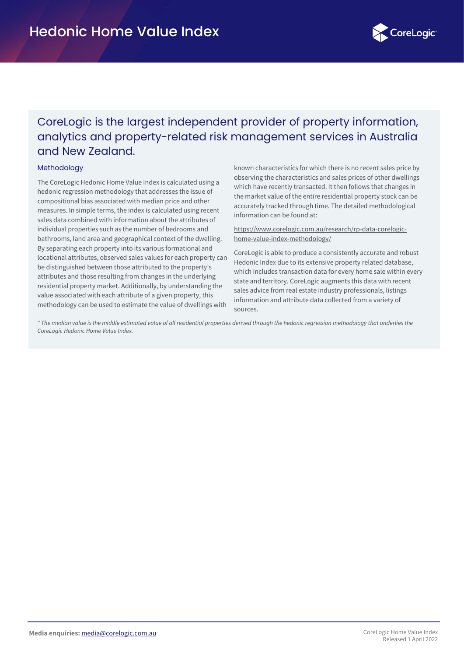

# CoreLogic is the largest independent provider of property information, analytics and property-related risk management services in Australia and New Zealand.

#### **Methodology**

The CoreLogic Hedonic Home Value Index is calculated using a hedonic regression methodology that addresses the issue of compositional bias associated with median price and other measures. In simple terms, the index is calculated using recent sales data combined with information about the attributes of individual properties such as the number of bedrooms and bathrooms, land area and geographical context of the dwelling. By separating each property into its various formational and locational attributes, observed sales values for each property can be distinguished between those attributed to the property's attributes and those resulting from changes in the underlying residential property market. Additionally, by understanding the value associated with each attribute of a given property, this methodology can be used to estimate the value of dwellings with

known characteristics for which there is no recent sales price by observing the characteristics and sales prices of other dwellings which have recently transacted. It then follows that changes in the market value of the entire residential property stock can be accurately tracked through time. The detailed methodological information can be found at:

[https://www.corelogic.com.au/research/rp-data-corelogic](https://www.corelogic.com.au/research/rp-data-corelogic-home-value-index-methodology/)home-value-index-methodology/

CoreLogic is able to produce a consistently accurate and robust Hedonic Index due to its extensive property related database, which includes transaction data for every home sale within every state and territory. CoreLogic augments this data with recent sales advice from real estate industry professionals, listings information and attribute data collected from a variety of sources.

*\* The median value is the middle estimated value of all residential properties derived through the hedonic regression methodology that underlies the CoreLogic Hedonic Home Value Index.*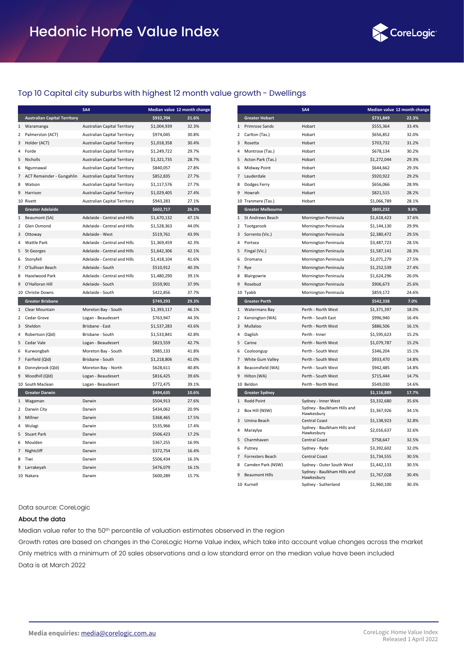

#### Top 10 Capital city suburbs with highest 12 month value growth - Dwellings

|                |                                     | SA <sub>4</sub>                     | Median value 12 month change |       |
|----------------|-------------------------------------|-------------------------------------|------------------------------|-------|
|                | <b>Australian Capital Territory</b> |                                     | \$932,704                    | 21.6% |
| 1              | Waramanga                           | Australian Capital Territory        | \$1,004,939                  | 32.3% |
| $\overline{2}$ | Palmerston (ACT)                    | <b>Australian Capital Territory</b> | \$974,045                    | 30.8% |
| 3              | Holder (ACT)                        | Australian Capital Territory        | \$1,018,358                  | 30.4% |
| 4              | Forde                               | Australian Capital Territory        | \$1,249,722                  | 29.7% |
| 5              | Nicholls                            | Australian Capital Territory        | \$1,321,735                  | 28.7% |
| 6              | Ngunnawal                           | <b>Australian Capital Territory</b> | \$840,057                    | 27.8% |
| 7              | ACT Remainder - Gungahlin           | Australian Capital Territory        | \$852,835                    | 27.7% |
| 8              | Watson                              | <b>Australian Capital Territory</b> | \$1,117,576                  | 27.7% |
| 9              | Harrison                            | Australian Capital Territory        | \$1,029,405                  | 27.4% |
|                | 10 Rivett                           | <b>Australian Capital Territory</b> | \$943,283                    | 27.1% |
|                | <b>Greater Adelaide</b>             |                                     | \$602,717                    | 26.3% |
| 1              | Beaumont (SA)                       | Adelaide - Central and Hills        | \$1,670,132                  | 47.1% |
| 2              | Glen Osmond                         | Adelaide - Central and Hills        | \$1,528,363                  | 44.0% |
| 3              | Ottoway                             | Adelaide - West                     | \$519,761                    | 43.9% |
| 4              | <b>Wattle Park</b>                  | Adelaide - Central and Hills        | \$1,369,459                  | 42.3% |
| 5              | St Georges                          | Adelaide - Central and Hills        | \$1,642,306                  | 42.1% |
| 6              | Stonyfell                           | Adelaide - Central and Hills        | \$1,418,104                  | 41.6% |
| 7              | O'Sullivan Beach                    | Adelaide - South                    | \$510,912                    | 40.3% |
| 8              | Hazelwood Park                      | Adelaide - Central and Hills        | \$1,480,290                  | 39.1% |
| 9              | O'Halloran Hill                     | Adelaide - South                    | \$559,901                    | 37.9% |
|                | 10 Christie Downs                   | Adelaide - South                    | \$422,856                    | 37.7% |
|                | <b>Greater Brisbane</b>             |                                     | \$749,293                    | 29.3% |
| 1              | Clear Mountain                      | Moreton Bay - South                 | \$1,393,117                  | 46.1% |
| 2              | Cedar Grove                         | Logan - Beaudesert                  | \$763,947                    | 44.3% |
| 3              | Sheldon                             | Brisbane - East                     | \$1,537,283                  | 43.6% |
| 4              | Robertson (Qld)                     | Brisbane - South                    | \$1,533,841                  | 42.8% |
| 5              | Cedar Vale                          | Logan - Beaudesert                  | \$823,559                    | 42.7% |
| 6              | Kurwongbah                          | Moreton Bay - South                 | \$985,133                    | 41.8% |
| 7              | Fairfield (Qld)                     | Brisbane - South                    | \$1,218,806                  | 41.0% |
| 8              | Donnybrook (Qld)                    | Moreton Bay - North                 | \$628,611                    | 40.8% |
| 9              | Woodhill (Qld)                      | Logan - Beaudesert                  | \$816,425                    | 39.6% |
|                | 10 South Maclean                    | Logan - Beaudesert                  | \$772,475                    | 39.1% |
|                | <b>Greater Darwin</b>               |                                     | \$494,635                    | 10.6% |
| $\mathbf{1}$   | Wagaman                             | Darwin                              | \$504,913                    | 27.6% |
| $\overline{2}$ | Darwin City                         | Darwin                              | \$434,062                    | 20.9% |
| 3              | Millner                             | Darwin                              | \$368,465                    | 17.5% |
| 4              | Wulagi                              | Darwin                              | \$535,966                    | 17.4% |
| 5              | <b>Stuart Park</b>                  | Darwin                              | \$506,423                    | 17.2% |
| 6              | Moulden                             | Darwin                              | \$367,255                    | 16.9% |
| 7              | Nightcliff                          | Darwin                              | \$372,754                    | 16.4% |
| 8              | Tiwi                                | Darwin                              | \$506,434                    | 16.3% |
| 9              | Larrakeyah                          | Darwin                              | \$476,079                    | 16.1% |
|                | 10 Nakara                           | Darwin                              | \$600,289                    | 15.7% |

|                |                          | SA <sub>4</sub>                           |             | Median value 12 month change |
|----------------|--------------------------|-------------------------------------------|-------------|------------------------------|
|                | <b>Greater Hobart</b>    |                                           | \$731,849   | 22.3%                        |
| 1              | Primrose Sands           | Hobart                                    | \$555,364   | 33.4%                        |
| $\overline{2}$ | Carlton (Tas.)           | Hobart                                    | \$656,852   | 32.0%                        |
| 3              | Rosetta                  | Hobart                                    | \$703,732   | 31.2%                        |
| 4              | Montrose (Tas.)          | Hobart                                    | \$678,134   | 30.2%                        |
| 5              | Acton Park (Tas.)        | Hobart                                    | \$1,272,044 | 29.3%                        |
| 6              | Midway Point             | Hobart                                    | \$644,662   | 29.3%                        |
| 7              | Lauderdale               | Hobart                                    | \$920,922   | 29.2%                        |
| 8              | Dodges Ferry             | Hobart                                    | \$656,066   | 28.9%                        |
| 9              | Howrah                   | Hobart                                    | \$821,515   | 28.2%                        |
|                | 10 Tranmere (Tas.)       | Hobart                                    | \$1,066,789 | 28.1%                        |
|                | <b>Greater Melbourne</b> |                                           | \$805,232   | 9.8%                         |
| 1              | <b>St Andrews Beach</b>  | Mornington Peninsula                      | \$1,618,423 | 37.6%                        |
| $\overline{2}$ | Tootgarook               | Mornington Peninsula                      | \$1,144,130 | 29.9%                        |
| 3              | Sorrento (Vic.)          | Mornington Peninsula                      | \$2,380,472 | 29.5%                        |
| 4              | Portsea                  | Mornington Peninsula                      | \$3,487,723 | 28.5%                        |
| 5              | Fingal (Vic.)            | Mornington Peninsula                      | \$1,587,141 | 28.3%                        |
| 6              | Dromana                  | Mornington Peninsula                      | \$1,071,279 | 27.5%                        |
| 7              | Rye                      | Mornington Peninsula                      | \$1,252,539 | 27.4%                        |
| 8              | Blairgowrie              | Mornington Peninsula                      | \$1,624,296 | 26.0%                        |
| 9              | Rosebud                  | Mornington Peninsula                      | \$906,673   | 25.6%                        |
|                | 10 Tyabb                 | Mornington Peninsula                      | \$859,172   | 24.6%                        |
|                | <b>Greater Perth</b>     |                                           | \$542.338   | 7.0%                         |
| 1              | <b>Watermans Bay</b>     | Perth - North West                        | \$1,371,397 | 18.0%                        |
| 2              | Kensington (WA)          | Perth - South East                        | \$996,940   | 16.4%                        |
| 3              | Mullaloo                 | Perth - North West                        | \$886,506   | 16.1%                        |
| 4              | Daglish                  | Perth - Inner                             | \$1,595,623 | 15.2%                        |
| 5              | Carine                   | Perth - North West                        | \$1,079,787 | 15.2%                        |
| 6              | Cooloongup               | Perth - South West                        | \$346,204   | 15.1%                        |
| 7              | White Gum Valley         | Perth - South West                        | \$933,470   | 14.8%                        |
| 8              | Beaconsfield (WA)        | Perth - South West                        | \$942,485   | 14.8%                        |
| 9              | Hilton (WA)              | Perth - South West                        | \$715,444   | 14.7%                        |
|                | 10 Beldon                | Perth - North West                        | \$549,030   | 14.6%                        |
|                | <b>Greater Sydney</b>    |                                           | \$1,116,889 | 17.7%                        |
| 1              | Rodd Point               | Sydney - Inner West                       | \$3,332,680 | 35.6%                        |
| $\overline{c}$ | Box Hill (NSW)           | Sydney - Baulkham Hills and<br>Hawkesbury | \$1,367,926 | 34.1%                        |
| 3              | Umina Beach              | <b>Central Coast</b>                      | \$1,138,923 | 32.8%                        |
| 4              | Maraylya                 | Sydney - Baulkham Hills and<br>Hawkesbury | \$2,016,637 | 32.6%                        |
| 5              | Charmhaven               | <b>Central Coast</b>                      | \$758,647   | 32.5%                        |
| 6              | Putney                   | Sydney - Ryde                             | \$3,392,602 | 32.0%                        |
| 7              | Forresters Beach         | <b>Central Coast</b>                      | \$1,734,555 | 30.5%                        |
| 8              | Camden Park (NSW)        | Sydney - Outer South West                 | \$1,442,133 | 30.5%                        |
| 9              | <b>Beaumont Hills</b>    | Sydney - Baulkham Hills and<br>Hawkesbury | \$1,767,028 | 30.4%                        |
|                | 10 Kurnell               | Sydney - Sutherland                       | \$1,960,100 | 30.3%                        |

#### Data source: CoreLogic

#### About the data

Median value refer to the 50th percentile of valuation estimates observed in the region

Growth rates are based on changes in the CoreLogic Home Value index, which take into account value changes across the market Only metrics with a minimum of 20 sales observations and a low standard error on the median value have been included Data is at March 2022